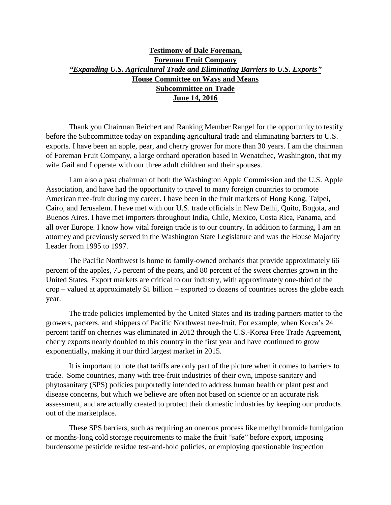## **Testimony of Dale Foreman, Foreman Fruit Company**  *"Expanding U.S. Agricultural Trade and Eliminating Barriers to U.S. Exports"* **House Committee on Ways and Means Subcommittee on Trade June 14, 2016**

Thank you Chairman Reichert and Ranking Member Rangel for the opportunity to testify before the Subcommittee today on expanding agricultural trade and eliminating barriers to U.S. exports. I have been an apple, pear, and cherry grower for more than 30 years. I am the chairman of Foreman Fruit Company, a large orchard operation based in Wenatchee, Washington, that my wife Gail and I operate with our three adult children and their spouses.

I am also a past chairman of both the Washington Apple Commission and the U.S. Apple Association, and have had the opportunity to travel to many foreign countries to promote American tree-fruit during my career. I have been in the fruit markets of Hong Kong, Taipei, Cairo, and Jerusalem. I have met with our U.S. trade officials in New Delhi, Quito, Bogota, and Buenos Aires. I have met importers throughout India, Chile, Mexico, Costa Rica, Panama, and all over Europe. I know how vital foreign trade is to our country. In addition to farming, I am an attorney and previously served in the Washington State Legislature and was the House Majority Leader from 1995 to 1997.

The Pacific Northwest is home to family-owned orchards that provide approximately 66 percent of the apples, 75 percent of the pears, and 80 percent of the sweet cherries grown in the United States. Export markets are critical to our industry, with approximately one-third of the crop – valued at approximately \$1 billion – exported to dozens of countries across the globe each year.

The trade policies implemented by the United States and its trading partners matter to the growers, packers, and shippers of Pacific Northwest tree-fruit. For example, when Korea's 24 percent tariff on cherries was eliminated in 2012 through the U.S.-Korea Free Trade Agreement, cherry exports nearly doubled to this country in the first year and have continued to grow exponentially, making it our third largest market in 2015.

It is important to note that tariffs are only part of the picture when it comes to barriers to trade. Some countries, many with tree-fruit industries of their own, impose sanitary and phytosanitary (SPS) policies purportedly intended to address human health or plant pest and disease concerns, but which we believe are often not based on science or an accurate risk assessment, and are actually created to protect their domestic industries by keeping our products out of the marketplace.

These SPS barriers, such as requiring an onerous process like methyl bromide fumigation or months-long cold storage requirements to make the fruit "safe" before export, imposing burdensome pesticide residue test-and-hold policies, or employing questionable inspection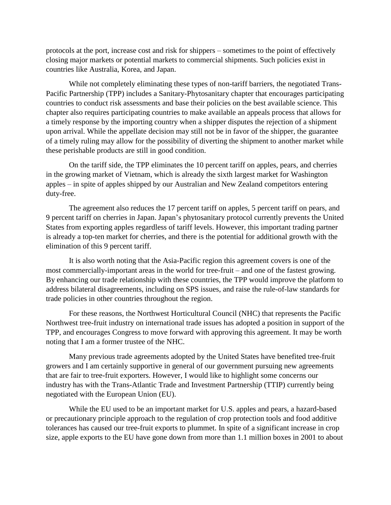protocols at the port, increase cost and risk for shippers – sometimes to the point of effectively closing major markets or potential markets to commercial shipments. Such policies exist in countries like Australia, Korea, and Japan.

While not completely eliminating these types of non-tariff barriers, the negotiated Trans-Pacific Partnership (TPP) includes a Sanitary-Phytosanitary chapter that encourages participating countries to conduct risk assessments and base their policies on the best available science. This chapter also requires participating countries to make available an appeals process that allows for a timely response by the importing country when a shipper disputes the rejection of a shipment upon arrival. While the appellate decision may still not be in favor of the shipper, the guarantee of a timely ruling may allow for the possibility of diverting the shipment to another market while these perishable products are still in good condition.

On the tariff side, the TPP eliminates the 10 percent tariff on apples, pears, and cherries in the growing market of Vietnam, which is already the sixth largest market for Washington apples – in spite of apples shipped by our Australian and New Zealand competitors entering duty-free.

The agreement also reduces the 17 percent tariff on apples, 5 percent tariff on pears, and 9 percent tariff on cherries in Japan. Japan's phytosanitary protocol currently prevents the United States from exporting apples regardless of tariff levels. However, this important trading partner is already a top-ten market for cherries, and there is the potential for additional growth with the elimination of this 9 percent tariff.

It is also worth noting that the Asia-Pacific region this agreement covers is one of the most commercially-important areas in the world for tree-fruit – and one of the fastest growing. By enhancing our trade relationship with these countries, the TPP would improve the platform to address bilateral disagreements, including on SPS issues, and raise the rule-of-law standards for trade policies in other countries throughout the region.

For these reasons, the Northwest Horticultural Council (NHC) that represents the Pacific Northwest tree-fruit industry on international trade issues has adopted a position in support of the TPP, and encourages Congress to move forward with approving this agreement. It may be worth noting that I am a former trustee of the NHC.

Many previous trade agreements adopted by the United States have benefited tree-fruit growers and I am certainly supportive in general of our government pursuing new agreements that are fair to tree-fruit exporters. However, I would like to highlight some concerns our industry has with the Trans-Atlantic Trade and Investment Partnership (TTIP) currently being negotiated with the European Union (EU).

While the EU used to be an important market for U.S. apples and pears, a hazard-based or precautionary principle approach to the regulation of crop protection tools and food additive tolerances has caused our tree-fruit exports to plummet. In spite of a significant increase in crop size, apple exports to the EU have gone down from more than 1.1 million boxes in 2001 to about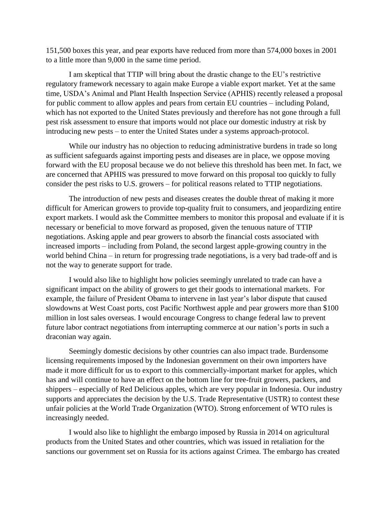151,500 boxes this year, and pear exports have reduced from more than 574,000 boxes in 2001 to a little more than 9,000 in the same time period.

I am skeptical that TTIP will bring about the drastic change to the EU's restrictive regulatory framework necessary to again make Europe a viable export market. Yet at the same time, USDA's Animal and Plant Health Inspection Service (APHIS) recently released a proposal for public comment to allow apples and pears from certain EU countries – including Poland, which has not exported to the United States previously and therefore has not gone through a full pest risk assessment to ensure that imports would not place our domestic industry at risk by introducing new pests – to enter the United States under a systems approach-protocol.

While our industry has no objection to reducing administrative burdens in trade so long as sufficient safeguards against importing pests and diseases are in place, we oppose moving forward with the EU proposal because we do not believe this threshold has been met. In fact, we are concerned that APHIS was pressured to move forward on this proposal too quickly to fully consider the pest risks to U.S. growers – for political reasons related to TTIP negotiations.

The introduction of new pests and diseases creates the double threat of making it more difficult for American growers to provide top-quality fruit to consumers, and jeopardizing entire export markets. I would ask the Committee members to monitor this proposal and evaluate if it is necessary or beneficial to move forward as proposed, given the tenuous nature of TTIP negotiations. Asking apple and pear growers to absorb the financial costs associated with increased imports – including from Poland, the second largest apple-growing country in the world behind China – in return for progressing trade negotiations, is a very bad trade-off and is not the way to generate support for trade.

I would also like to highlight how policies seemingly unrelated to trade can have a significant impact on the ability of growers to get their goods to international markets. For example, the failure of President Obama to intervene in last year's labor dispute that caused slowdowns at West Coast ports, cost Pacific Northwest apple and pear growers more than \$100 million in lost sales overseas. I would encourage Congress to change federal law to prevent future labor contract negotiations from interrupting commerce at our nation's ports in such a draconian way again.

Seemingly domestic decisions by other countries can also impact trade. Burdensome licensing requirements imposed by the Indonesian government on their own importers have made it more difficult for us to export to this commercially-important market for apples, which has and will continue to have an effect on the bottom line for tree-fruit growers, packers, and shippers – especially of Red Delicious apples, which are very popular in Indonesia. Our industry supports and appreciates the decision by the U.S. Trade Representative (USTR) to contest these unfair policies at the World Trade Organization (WTO). Strong enforcement of WTO rules is increasingly needed.

I would also like to highlight the embargo imposed by Russia in 2014 on agricultural products from the United States and other countries, which was issued in retaliation for the sanctions our government set on Russia for its actions against Crimea. The embargo has created